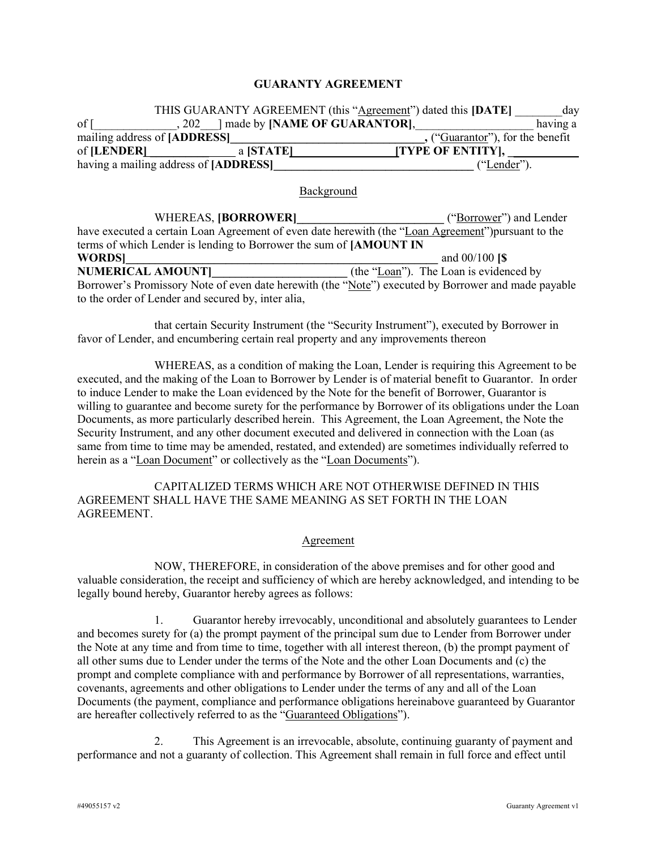### GUARANTY AGREEMENT

|      |                                       | THIS GUARANTY AGREEMENT (this "Agreement") dated this [DATE]<br>day |
|------|---------------------------------------|---------------------------------------------------------------------|
| of I |                                       | having a                                                            |
|      | mailing address of [ADDRESS]          | ("Guarantor"), for the benefit                                      |
|      |                                       | [TYPE OF ENTITY],                                                   |
|      | having a mailing address of [ADDRESS] | ("Lender").                                                         |
|      |                                       | Background                                                          |
|      | witedeas idaddawedi                   | $(45.1)$ , $-11.1$ , $-11.1$                                        |

| WHEREAS, [BORROWER]                                                                                 | ("Borrower") and Lender                |  |  |  |
|-----------------------------------------------------------------------------------------------------|----------------------------------------|--|--|--|
| have executed a certain Loan Agreement of even date herewith (the "Loan Agreement") pursuant to the |                                        |  |  |  |
| terms of which Lender is lending to Borrower the sum of [AMOUNT IN                                  |                                        |  |  |  |
| <b>WORDS</b>                                                                                        | and $00/100$ [\$                       |  |  |  |
| <b>NUMERICAL AMOUNT</b>                                                                             | (the "Loan"). The Loan is evidenced by |  |  |  |
| Borrower's Promissory Note of even date herewith (the "Note") executed by Borrower and made payable |                                        |  |  |  |
| to the order of Lender and secured by, inter alia,                                                  |                                        |  |  |  |

that certain Security Instrument (the "Security Instrument"), executed by Borrower in favor of Lender, and encumbering certain real property and any improvements thereon

WHEREAS, as a condition of making the Loan, Lender is requiring this Agreement to be executed, and the making of the Loan to Borrower by Lender is of material benefit to Guarantor. In order to induce Lender to make the Loan evidenced by the Note for the benefit of Borrower, Guarantor is willing to guarantee and become surety for the performance by Borrower of its obligations under the Loan Documents, as more particularly described herein. This Agreement, the Loan Agreement, the Note the Security Instrument, and any other document executed and delivered in connection with the Loan (as same from time to time may be amended, restated, and extended) are sometimes individually referred to herein as a "Loan Document" or collectively as the "Loan Documents").

CAPITALIZED TERMS WHICH ARE NOT OTHERWISE DEFINED IN THIS AGREEMENT SHALL HAVE THE SAME MEANING AS SET FORTH IN THE LOAN AGREEMENT.

#### Agreement

NOW, THEREFORE, in consideration of the above premises and for other good and valuable consideration, the receipt and sufficiency of which are hereby acknowledged, and intending to be legally bound hereby, Guarantor hereby agrees as follows:

1. Guarantor hereby irrevocably, unconditional and absolutely guarantees to Lender and becomes surety for (a) the prompt payment of the principal sum due to Lender from Borrower under the Note at any time and from time to time, together with all interest thereon, (b) the prompt payment of all other sums due to Lender under the terms of the Note and the other Loan Documents and (c) the prompt and complete compliance with and performance by Borrower of all representations, warranties, covenants, agreements and other obligations to Lender under the terms of any and all of the Loan Documents (the payment, compliance and performance obligations hereinabove guaranteed by Guarantor are hereafter collectively referred to as the "Guaranteed Obligations").

2. This Agreement is an irrevocable, absolute, continuing guaranty of payment and performance and not a guaranty of collection. This Agreement shall remain in full force and effect until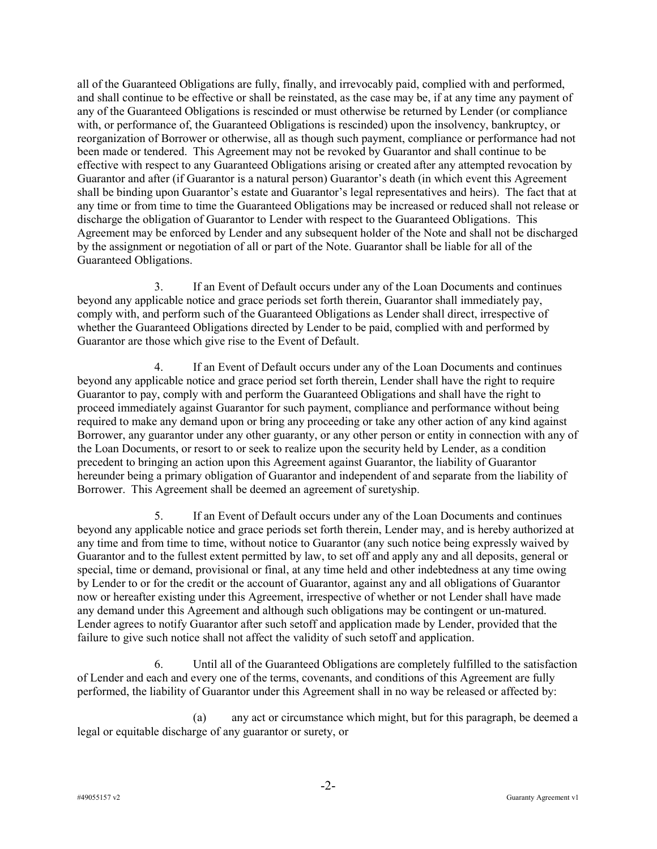all of the Guaranteed Obligations are fully, finally, and irrevocably paid, complied with and performed, and shall continue to be effective or shall be reinstated, as the case may be, if at any time any payment of any of the Guaranteed Obligations is rescinded or must otherwise be returned by Lender (or compliance with, or performance of, the Guaranteed Obligations is rescinded) upon the insolvency, bankruptcy, or reorganization of Borrower or otherwise, all as though such payment, compliance or performance had not been made or tendered. This Agreement may not be revoked by Guarantor and shall continue to be effective with respect to any Guaranteed Obligations arising or created after any attempted revocation by Guarantor and after (if Guarantor is a natural person) Guarantor's death (in which event this Agreement shall be binding upon Guarantor's estate and Guarantor's legal representatives and heirs). The fact that at any time or from time to time the Guaranteed Obligations may be increased or reduced shall not release or discharge the obligation of Guarantor to Lender with respect to the Guaranteed Obligations. This Agreement may be enforced by Lender and any subsequent holder of the Note and shall not be discharged by the assignment or negotiation of all or part of the Note. Guarantor shall be liable for all of the Guaranteed Obligations.

3. If an Event of Default occurs under any of the Loan Documents and continues beyond any applicable notice and grace periods set forth therein, Guarantor shall immediately pay, comply with, and perform such of the Guaranteed Obligations as Lender shall direct, irrespective of whether the Guaranteed Obligations directed by Lender to be paid, complied with and performed by Guarantor are those which give rise to the Event of Default.

4. If an Event of Default occurs under any of the Loan Documents and continues beyond any applicable notice and grace period set forth therein, Lender shall have the right to require Guarantor to pay, comply with and perform the Guaranteed Obligations and shall have the right to proceed immediately against Guarantor for such payment, compliance and performance without being required to make any demand upon or bring any proceeding or take any other action of any kind against Borrower, any guarantor under any other guaranty, or any other person or entity in connection with any of the Loan Documents, or resort to or seek to realize upon the security held by Lender, as a condition precedent to bringing an action upon this Agreement against Guarantor, the liability of Guarantor hereunder being a primary obligation of Guarantor and independent of and separate from the liability of Borrower. This Agreement shall be deemed an agreement of suretyship.

5. If an Event of Default occurs under any of the Loan Documents and continues beyond any applicable notice and grace periods set forth therein, Lender may, and is hereby authorized at any time and from time to time, without notice to Guarantor (any such notice being expressly waived by Guarantor and to the fullest extent permitted by law, to set off and apply any and all deposits, general or special, time or demand, provisional or final, at any time held and other indebtedness at any time owing by Lender to or for the credit or the account of Guarantor, against any and all obligations of Guarantor now or hereafter existing under this Agreement, irrespective of whether or not Lender shall have made any demand under this Agreement and although such obligations may be contingent or un-matured. Lender agrees to notify Guarantor after such setoff and application made by Lender, provided that the failure to give such notice shall not affect the validity of such setoff and application.

6. Until all of the Guaranteed Obligations are completely fulfilled to the satisfaction of Lender and each and every one of the terms, covenants, and conditions of this Agreement are fully performed, the liability of Guarantor under this Agreement shall in no way be released or affected by:

(a) any act or circumstance which might, but for this paragraph, be deemed a legal or equitable discharge of any guarantor or surety, or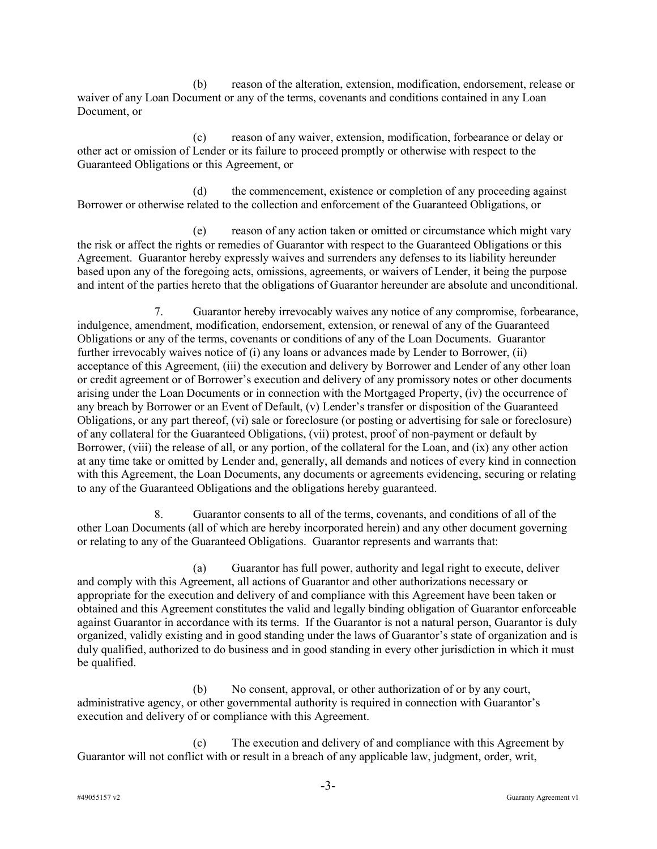(b) reason of the alteration, extension, modification, endorsement, release or waiver of any Loan Document or any of the terms, covenants and conditions contained in any Loan Document, or

(c) reason of any waiver, extension, modification, forbearance or delay or other act or omission of Lender or its failure to proceed promptly or otherwise with respect to the Guaranteed Obligations or this Agreement, or

(d) the commencement, existence or completion of any proceeding against Borrower or otherwise related to the collection and enforcement of the Guaranteed Obligations, or

(e) reason of any action taken or omitted or circumstance which might vary the risk or affect the rights or remedies of Guarantor with respect to the Guaranteed Obligations or this Agreement. Guarantor hereby expressly waives and surrenders any defenses to its liability hereunder based upon any of the foregoing acts, omissions, agreements, or waivers of Lender, it being the purpose and intent of the parties hereto that the obligations of Guarantor hereunder are absolute and unconditional.

7. Guarantor hereby irrevocably waives any notice of any compromise, forbearance, indulgence, amendment, modification, endorsement, extension, or renewal of any of the Guaranteed Obligations or any of the terms, covenants or conditions of any of the Loan Documents. Guarantor further irrevocably waives notice of (i) any loans or advances made by Lender to Borrower, (ii) acceptance of this Agreement, (iii) the execution and delivery by Borrower and Lender of any other loan or credit agreement or of Borrower's execution and delivery of any promissory notes or other documents arising under the Loan Documents or in connection with the Mortgaged Property, (iv) the occurrence of any breach by Borrower or an Event of Default, (v) Lender's transfer or disposition of the Guaranteed Obligations, or any part thereof, (vi) sale or foreclosure (or posting or advertising for sale or foreclosure) of any collateral for the Guaranteed Obligations, (vii) protest, proof of non-payment or default by Borrower, (viii) the release of all, or any portion, of the collateral for the Loan, and (ix) any other action at any time take or omitted by Lender and, generally, all demands and notices of every kind in connection with this Agreement, the Loan Documents, any documents or agreements evidencing, securing or relating to any of the Guaranteed Obligations and the obligations hereby guaranteed.

8. Guarantor consents to all of the terms, covenants, and conditions of all of the other Loan Documents (all of which are hereby incorporated herein) and any other document governing or relating to any of the Guaranteed Obligations. Guarantor represents and warrants that:

(a) Guarantor has full power, authority and legal right to execute, deliver and comply with this Agreement, all actions of Guarantor and other authorizations necessary or appropriate for the execution and delivery of and compliance with this Agreement have been taken or obtained and this Agreement constitutes the valid and legally binding obligation of Guarantor enforceable against Guarantor in accordance with its terms. If the Guarantor is not a natural person, Guarantor is duly organized, validly existing and in good standing under the laws of Guarantor's state of organization and is duly qualified, authorized to do business and in good standing in every other jurisdiction in which it must be qualified.

(b) No consent, approval, or other authorization of or by any court, administrative agency, or other governmental authority is required in connection with Guarantor's execution and delivery of or compliance with this Agreement.

(c) The execution and delivery of and compliance with this Agreement by Guarantor will not conflict with or result in a breach of any applicable law, judgment, order, writ,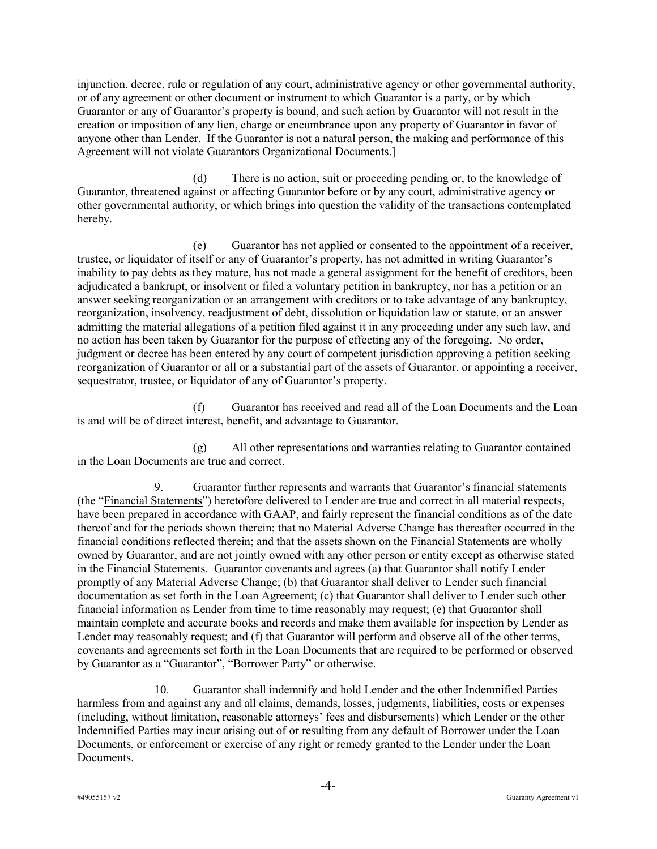injunction, decree, rule or regulation of any court, administrative agency or other governmental authority, or of any agreement or other document or instrument to which Guarantor is a party, or by which Guarantor or any of Guarantor's property is bound, and such action by Guarantor will not result in the creation or imposition of any lien, charge or encumbrance upon any property of Guarantor in favor of anyone other than Lender. If the Guarantor is not a natural person, the making and performance of this Agreement will not violate Guarantors Organizational Documents.]

(d) There is no action, suit or proceeding pending or, to the knowledge of Guarantor, threatened against or affecting Guarantor before or by any court, administrative agency or other governmental authority, or which brings into question the validity of the transactions contemplated hereby.

(e) Guarantor has not applied or consented to the appointment of a receiver, trustee, or liquidator of itself or any of Guarantor's property, has not admitted in writing Guarantor's inability to pay debts as they mature, has not made a general assignment for the benefit of creditors, been adjudicated a bankrupt, or insolvent or filed a voluntary petition in bankruptcy, nor has a petition or an answer seeking reorganization or an arrangement with creditors or to take advantage of any bankruptcy, reorganization, insolvency, readjustment of debt, dissolution or liquidation law or statute, or an answer admitting the material allegations of a petition filed against it in any proceeding under any such law, and no action has been taken by Guarantor for the purpose of effecting any of the foregoing. No order, judgment or decree has been entered by any court of competent jurisdiction approving a petition seeking reorganization of Guarantor or all or a substantial part of the assets of Guarantor, or appointing a receiver, sequestrator, trustee, or liquidator of any of Guarantor's property.

(f) Guarantor has received and read all of the Loan Documents and the Loan is and will be of direct interest, benefit, and advantage to Guarantor.

(g) All other representations and warranties relating to Guarantor contained in the Loan Documents are true and correct.

9. Guarantor further represents and warrants that Guarantor's financial statements (the "Financial Statements") heretofore delivered to Lender are true and correct in all material respects, have been prepared in accordance with GAAP, and fairly represent the financial conditions as of the date thereof and for the periods shown therein; that no Material Adverse Change has thereafter occurred in the financial conditions reflected therein; and that the assets shown on the Financial Statements are wholly owned by Guarantor, and are not jointly owned with any other person or entity except as otherwise stated in the Financial Statements. Guarantor covenants and agrees (a) that Guarantor shall notify Lender promptly of any Material Adverse Change; (b) that Guarantor shall deliver to Lender such financial documentation as set forth in the Loan Agreement; (c) that Guarantor shall deliver to Lender such other financial information as Lender from time to time reasonably may request; (e) that Guarantor shall maintain complete and accurate books and records and make them available for inspection by Lender as Lender may reasonably request; and (f) that Guarantor will perform and observe all of the other terms, covenants and agreements set forth in the Loan Documents that are required to be performed or observed by Guarantor as a "Guarantor", "Borrower Party" or otherwise.

10. Guarantor shall indemnify and hold Lender and the other Indemnified Parties harmless from and against any and all claims, demands, losses, judgments, liabilities, costs or expenses (including, without limitation, reasonable attorneys' fees and disbursements) which Lender or the other Indemnified Parties may incur arising out of or resulting from any default of Borrower under the Loan Documents, or enforcement or exercise of any right or remedy granted to the Lender under the Loan Documents.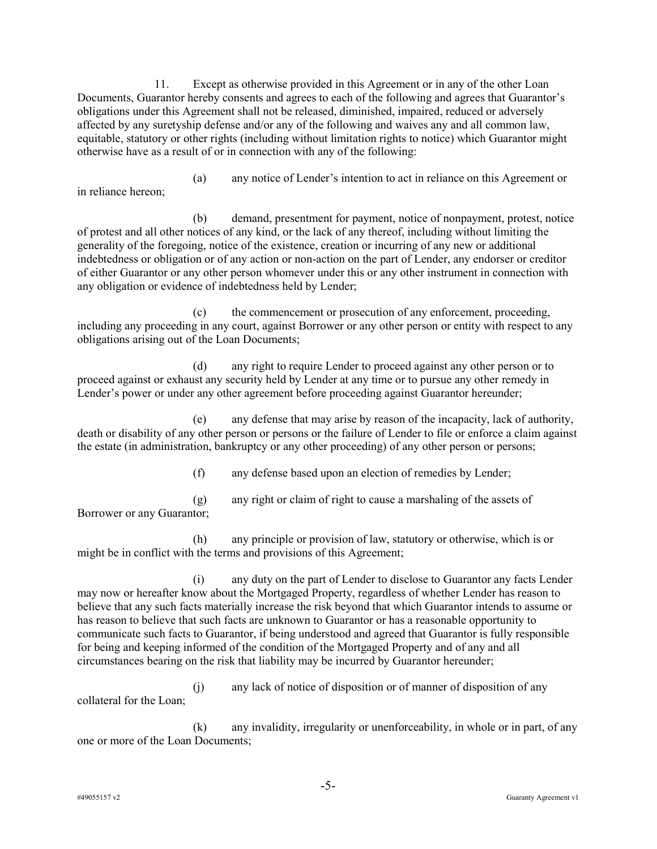11. Except as otherwise provided in this Agreement or in any of the other Loan Documents, Guarantor hereby consents and agrees to each of the following and agrees that Guarantor's obligations under this Agreement shall not be released, diminished, impaired, reduced or adversely affected by any suretyship defense and/or any of the following and waives any and all common law, equitable, statutory or other rights (including without limitation rights to notice) which Guarantor might otherwise have as a result of or in connection with any of the following:

(a) any notice of Lender's intention to act in reliance on this Agreement or in reliance hereon;

(b) demand, presentment for payment, notice of nonpayment, protest, notice of protest and all other notices of any kind, or the lack of any thereof, including without limiting the generality of the foregoing, notice of the existence, creation or incurring of any new or additional indebtedness or obligation or of any action or non-action on the part of Lender, any endorser or creditor of either Guarantor or any other person whomever under this or any other instrument in connection with any obligation or evidence of indebtedness held by Lender;

(c) the commencement or prosecution of any enforcement, proceeding, including any proceeding in any court, against Borrower or any other person or entity with respect to any obligations arising out of the Loan Documents;

(d) any right to require Lender to proceed against any other person or to proceed against or exhaust any security held by Lender at any time or to pursue any other remedy in Lender's power or under any other agreement before proceeding against Guarantor hereunder;

(e) any defense that may arise by reason of the incapacity, lack of authority, death or disability of any other person or persons or the failure of Lender to file or enforce a claim against the estate (in administration, bankruptcy or any other proceeding) of any other person or persons;

(f) any defense based upon an election of remedies by Lender;

(g) any right or claim of right to cause a marshaling of the assets of Borrower or any Guarantor;

(h) any principle or provision of law, statutory or otherwise, which is or might be in conflict with the terms and provisions of this Agreement;

(i) any duty on the part of Lender to disclose to Guarantor any facts Lender may now or hereafter know about the Mortgaged Property, regardless of whether Lender has reason to believe that any such facts materially increase the risk beyond that which Guarantor intends to assume or has reason to believe that such facts are unknown to Guarantor or has a reasonable opportunity to communicate such facts to Guarantor, if being understood and agreed that Guarantor is fully responsible for being and keeping informed of the condition of the Mortgaged Property and of any and all circumstances bearing on the risk that liability may be incurred by Guarantor hereunder;

(j) any lack of notice of disposition or of manner of disposition of any collateral for the Loan;

(k) any invalidity, irregularity or unenforceability, in whole or in part, of any one or more of the Loan Documents;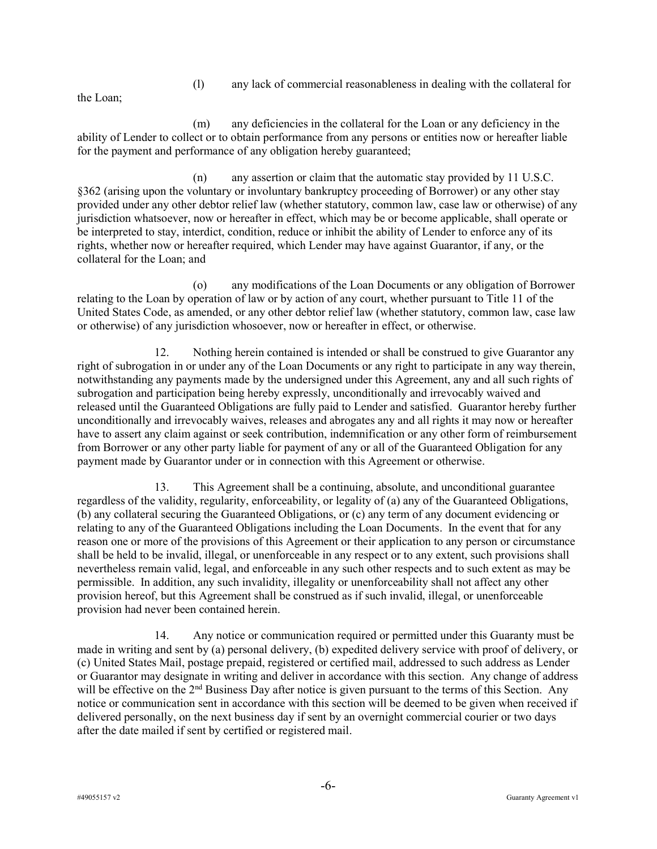(l) any lack of commercial reasonableness in dealing with the collateral for

the Loan;

(m) any deficiencies in the collateral for the Loan or any deficiency in the ability of Lender to collect or to obtain performance from any persons or entities now or hereafter liable for the payment and performance of any obligation hereby guaranteed;

(n) any assertion or claim that the automatic stay provided by 11 U.S.C. §362 (arising upon the voluntary or involuntary bankruptcy proceeding of Borrower) or any other stay provided under any other debtor relief law (whether statutory, common law, case law or otherwise) of any jurisdiction whatsoever, now or hereafter in effect, which may be or become applicable, shall operate or be interpreted to stay, interdict, condition, reduce or inhibit the ability of Lender to enforce any of its rights, whether now or hereafter required, which Lender may have against Guarantor, if any, or the collateral for the Loan; and

(o) any modifications of the Loan Documents or any obligation of Borrower relating to the Loan by operation of law or by action of any court, whether pursuant to Title 11 of the United States Code, as amended, or any other debtor relief law (whether statutory, common law, case law or otherwise) of any jurisdiction whosoever, now or hereafter in effect, or otherwise.

12. Nothing herein contained is intended or shall be construed to give Guarantor any right of subrogation in or under any of the Loan Documents or any right to participate in any way therein, notwithstanding any payments made by the undersigned under this Agreement, any and all such rights of subrogation and participation being hereby expressly, unconditionally and irrevocably waived and released until the Guaranteed Obligations are fully paid to Lender and satisfied. Guarantor hereby further unconditionally and irrevocably waives, releases and abrogates any and all rights it may now or hereafter have to assert any claim against or seek contribution, indemnification or any other form of reimbursement from Borrower or any other party liable for payment of any or all of the Guaranteed Obligation for any payment made by Guarantor under or in connection with this Agreement or otherwise.

13. This Agreement shall be a continuing, absolute, and unconditional guarantee regardless of the validity, regularity, enforceability, or legality of (a) any of the Guaranteed Obligations, (b) any collateral securing the Guaranteed Obligations, or (c) any term of any document evidencing or relating to any of the Guaranteed Obligations including the Loan Documents. In the event that for any reason one or more of the provisions of this Agreement or their application to any person or circumstance shall be held to be invalid, illegal, or unenforceable in any respect or to any extent, such provisions shall nevertheless remain valid, legal, and enforceable in any such other respects and to such extent as may be permissible. In addition, any such invalidity, illegality or unenforceability shall not affect any other provision hereof, but this Agreement shall be construed as if such invalid, illegal, or unenforceable provision had never been contained herein.

14. Any notice or communication required or permitted under this Guaranty must be made in writing and sent by (a) personal delivery, (b) expedited delivery service with proof of delivery, or (c) United States Mail, postage prepaid, registered or certified mail, addressed to such address as Lender or Guarantor may designate in writing and deliver in accordance with this section. Any change of address will be effective on the 2<sup>nd</sup> Business Day after notice is given pursuant to the terms of this Section. Any notice or communication sent in accordance with this section will be deemed to be given when received if delivered personally, on the next business day if sent by an overnight commercial courier or two days after the date mailed if sent by certified or registered mail.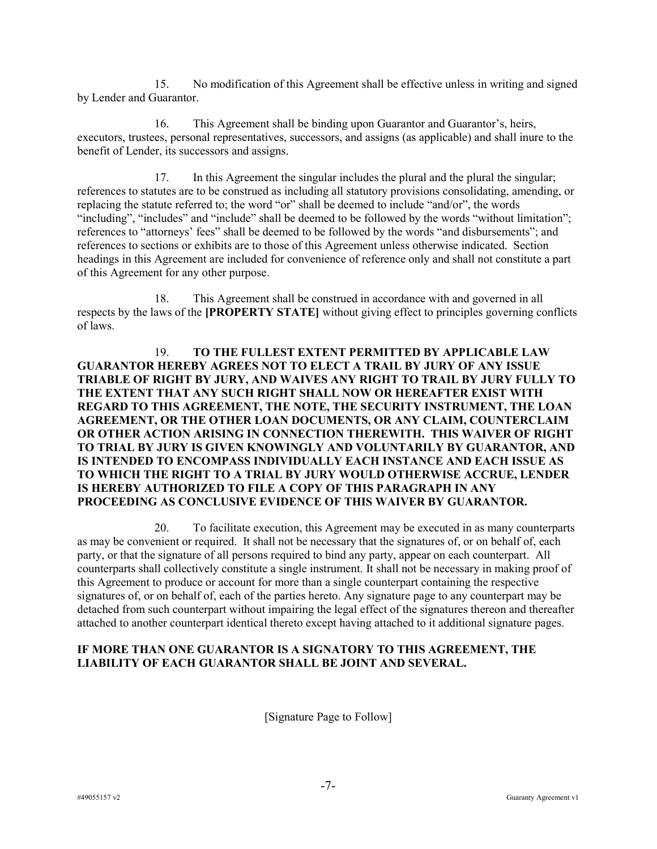15. No modification of this Agreement shall be effective unless in writing and signed by Lender and Guarantor.

16. This Agreement shall be binding upon Guarantor and Guarantor's, heirs, executors, trustees, personal representatives, successors, and assigns (as applicable) and shall inure to the benefit of Lender, its successors and assigns.

17. In this Agreement the singular includes the plural and the plural the singular; references to statutes are to be construed as including all statutory provisions consolidating, amending, or replacing the statute referred to; the word "or" shall be deemed to include "and/or", the words "including", "includes" and "include" shall be deemed to be followed by the words "without limitation"; references to "attorneys' fees" shall be deemed to be followed by the words "and disbursements"; and references to sections or exhibits are to those of this Agreement unless otherwise indicated. Section headings in this Agreement are included for convenience of reference only and shall not constitute a part of this Agreement for any other purpose.

18. This Agreement shall be construed in accordance with and governed in all respects by the laws of the [PROPERTY STATE] without giving effect to principles governing conflicts of laws.

# 19. TO THE FULLEST EXTENT PERMITTED BY APPLICABLE LAW GUARANTOR HEREBY AGREES NOT TO ELECT A TRAIL BY JURY OF ANY ISSUE TRIABLE OF RIGHT BY JURY, AND WAIVES ANY RIGHT TO TRAIL BY JURY FULLY TO THE EXTENT THAT ANY SUCH RIGHT SHALL NOW OR HEREAFTER EXIST WITH REGARD TO THIS AGREEMENT, THE NOTE, THE SECURITY INSTRUMENT, THE LOAN AGREEMENT, OR THE OTHER LOAN DOCUMENTS, OR ANY CLAIM, COUNTERCLAIM OR OTHER ACTION ARISING IN CONNECTION THEREWITH. THIS WAIVER OF RIGHT TO TRIAL BY JURY IS GIVEN KNOWINGLY AND VOLUNTARILY BY GUARANTOR, AND IS INTENDED TO ENCOMPASS INDIVIDUALLY EACH INSTANCE AND EACH ISSUE AS TO WHICH THE RIGHT TO A TRIAL BY JURY WOULD OTHERWISE ACCRUE, LENDER IS HEREBY AUTHORIZED TO FILE A COPY OF THIS PARAGRAPH IN ANY PROCEEDING AS CONCLUSIVE EVIDENCE OF THIS WAIVER BY GUARANTOR.

20. To facilitate execution, this Agreement may be executed in as many counterparts as may be convenient or required. It shall not be necessary that the signatures of, or on behalf of, each party, or that the signature of all persons required to bind any party, appear on each counterpart. All counterparts shall collectively constitute a single instrument. It shall not be necessary in making proof of this Agreement to produce or account for more than a single counterpart containing the respective signatures of, or on behalf of, each of the parties hereto. Any signature page to any counterpart may be detached from such counterpart without impairing the legal effect of the signatures thereon and thereafter attached to another counterpart identical thereto except having attached to it additional signature pages.

# IF MORE THAN ONE GUARANTOR IS A SIGNATORY TO THIS AGREEMENT, THE LIABILITY OF EACH GUARANTOR SHALL BE JOINT AND SEVERAL.

[Signature Page to Follow]